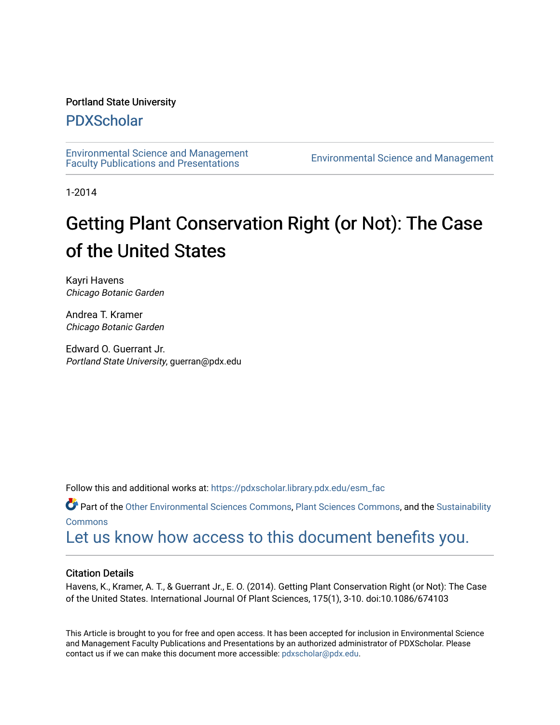# Portland State University

# [PDXScholar](https://pdxscholar.library.pdx.edu/)

[Environmental Science and Management](https://pdxscholar.library.pdx.edu/esm_fac)  [Faculty Publications and Presentations](https://pdxscholar.library.pdx.edu/esm_fac) [Environmental Science and Management](https://pdxscholar.library.pdx.edu/esm) 

1-2014

# Getting Plant Conservation Right (or Not): The Case of the United States

Kayri Havens Chicago Botanic Garden

Andrea T. Kramer Chicago Botanic Garden

Edward O. Guerrant Jr. Portland State University, guerran@pdx.edu

Follow this and additional works at: [https://pdxscholar.library.pdx.edu/esm\\_fac](https://pdxscholar.library.pdx.edu/esm_fac?utm_source=pdxscholar.library.pdx.edu%2Fesm_fac%2F30&utm_medium=PDF&utm_campaign=PDFCoverPages) 

Part of the [Other Environmental Sciences Commons,](http://network.bepress.com/hgg/discipline/173?utm_source=pdxscholar.library.pdx.edu%2Fesm_fac%2F30&utm_medium=PDF&utm_campaign=PDFCoverPages) [Plant Sciences Commons](http://network.bepress.com/hgg/discipline/102?utm_source=pdxscholar.library.pdx.edu%2Fesm_fac%2F30&utm_medium=PDF&utm_campaign=PDFCoverPages), and the [Sustainability](http://network.bepress.com/hgg/discipline/1031?utm_source=pdxscholar.library.pdx.edu%2Fesm_fac%2F30&utm_medium=PDF&utm_campaign=PDFCoverPages) **[Commons](http://network.bepress.com/hgg/discipline/1031?utm_source=pdxscholar.library.pdx.edu%2Fesm_fac%2F30&utm_medium=PDF&utm_campaign=PDFCoverPages)** 

[Let us know how access to this document benefits you.](http://library.pdx.edu/services/pdxscholar-services/pdxscholar-feedback/?ref=https://pdxscholar.library.pdx.edu/esm_fac/30) 

# Citation Details

Havens, K., Kramer, A. T., & Guerrant Jr., E. O. (2014). Getting Plant Conservation Right (or Not): The Case of the United States. International Journal Of Plant Sciences, 175(1), 3-10. doi:10.1086/674103

This Article is brought to you for free and open access. It has been accepted for inclusion in Environmental Science and Management Faculty Publications and Presentations by an authorized administrator of PDXScholar. Please contact us if we can make this document more accessible: [pdxscholar@pdx.edu](mailto:pdxscholar@pdx.edu).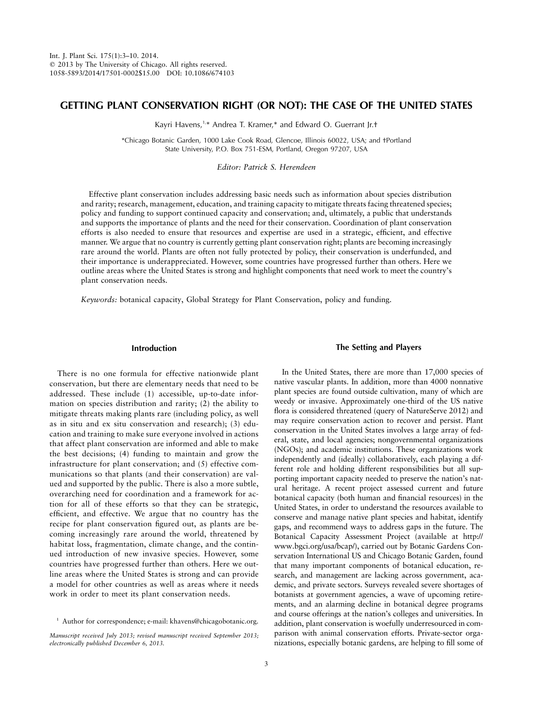## **GETTING PLANT CONSERVATION RIGHT (OR NOT): THE CASE OF THE UNITED STATES**

Kayri Havens,<sup>1,\*</sup> Andrea T. Kramer,\* and Edward O. Guerrant Jr.<sup>+</sup>

\*Chicago Botanic Garden, 1000 Lake Cook Road, Glencoe, Illinois 60022, USA; and †Portland State University, P.O. Box 751-ESM, Portland, Oregon 97207, USA

### *Editor: Patrick S. Herendeen*

Effective plant conservation includes addressing basic needs such as information about species distribution and rarity; research, management, education, and training capacity to mitigate threats facing threatened species; policy and funding to support continued capacity and conservation; and, ultimately, a public that understands and supports the importance of plants and the need for their conservation. Coordination of plant conservation efforts is also needed to ensure that resources and expertise are used in a strategic, efficient, and effective manner. We argue that no country is currently getting plant conservation right; plants are becoming increasingly rare around the world. Plants are often not fully protected by policy, their conservation is underfunded, and their importance is underappreciated. However, some countries have progressed further than others. Here we outline areas where the United States is strong and highlight components that need work to meet the country's plant conservation needs.

*Keywords:* botanical capacity, Global Strategy for Plant Conservation, policy and funding.

#### **Introduction**

There is no one formula for effective nationwide plant conservation, but there are elementary needs that need to be addressed. These include (1) accessible, up-to-date information on species distribution and rarity; (2) the ability to mitigate threats making plants rare (including policy, as well as in situ and ex situ conservation and research); (3) education and training to make sure everyone involved in actions that affect plant conservation are informed and able to make the best decisions; (4) funding to maintain and grow the infrastructure for plant conservation; and (5) effective communications so that plants (and their conservation) are valued and supported by the public. There is also a more subtle, overarching need for coordination and a framework for action for all of these efforts so that they can be strategic, efficient, and effective. We argue that no country has the recipe for plant conservation figured out, as plants are becoming increasingly rare around the world, threatened by habitat loss, fragmentation, climate change, and the continued introduction of new invasive species. However, some countries have progressed further than others. Here we outline areas where the United States is strong and can provide a model for other countries as well as areas where it needs work in order to meet its plant conservation needs.

#### **The Setting and Players**

In the United States, there are more than 17,000 species of native vascular plants. In addition, more than 4000 nonnative plant species are found outside cultivation, many of which are weedy or invasive. Approximately one-third of the US native flora is considered threatened (query of NatureServe 2012) and may require conservation action to recover and persist. Plant conservation in the United States involves a large array of federal, state, and local agencies; nongovernmental organizations (NGOs); and academic institutions. These organizations work independently and (ideally) collaboratively, each playing a different role and holding different responsibilities but all supporting important capacity needed to preserve the nation's natural heritage. A recent project assessed current and future botanical capacity (both human and financial resources) in the United States, in order to understand the resources available to conserve and manage native plant species and habitat, identify gaps, and recommend ways to address gaps in the future. The Botanical Capacity Assessment Project (available at http:// www.bgci.org/usa/bcap/), carried out by Botanic Gardens Conservation International US and Chicago Botanic Garden, found that many important components of botanical education, research, and management are lacking across government, academic, and private sectors. Surveys revealed severe shortages of botanists at government agencies, a wave of upcoming retirements, and an alarming decline in botanical degree programs and course offerings at the nation's colleges and universities. In addition, plant conservation is woefully underresourced in comparison with animal conservation efforts. Private-sector organizations, especially botanic gardens, are helping to fill some of

<sup>&</sup>lt;sup>1</sup> Author for correspondence; e-mail: khavens@chicagobotanic.org.

*Manuscript received July 2013; revised manuscript received September 2013; electronically published December 6, 2013.*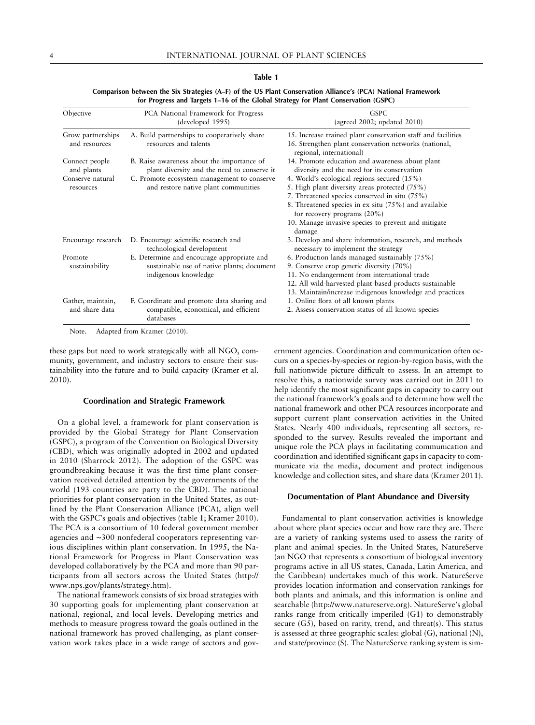| Objective                                                     | PCA National Framework for Progress<br>(developed 1995)                                                                                                                          | <b>GSPC</b><br>(agreed 2002; updated $2010$ )                                                                                                                                                                                                                                                              |
|---------------------------------------------------------------|----------------------------------------------------------------------------------------------------------------------------------------------------------------------------------|------------------------------------------------------------------------------------------------------------------------------------------------------------------------------------------------------------------------------------------------------------------------------------------------------------|
| Grow partnerships<br>and resources                            | A. Build partnerships to cooperatively share<br>resources and talents                                                                                                            | 15. Increase trained plant conservation staff and facilities<br>16. Strengthen plant conservation networks (national,<br>regional, international)                                                                                                                                                          |
| Connect people<br>and plants<br>Conserve natural<br>resources | B. Raise awareness about the importance of<br>plant diversity and the need to conserve it<br>C. Promote ecosystem management to conserve<br>and restore native plant communities | 14. Promote education and awareness about plant<br>diversity and the need for its conservation<br>4. World's ecological regions secured $(15\%)$<br>5. High plant diversity areas protected (75%)<br>7. Threatened species conserved in situ (75%)<br>8. Threatened species in ex situ (75%) and available |
|                                                               |                                                                                                                                                                                  | for recovery programs $(20\%)$<br>10. Manage invasive species to prevent and mitigate<br>damage                                                                                                                                                                                                            |
| Encourage research                                            | D. Encourage scientific research and<br>technological development                                                                                                                | 3. Develop and share information, research, and methods<br>necessary to implement the strategy                                                                                                                                                                                                             |
| Promote<br>sustainability                                     | E. Determine and encourage appropriate and<br>sustainable use of native plants; document<br>indigenous knowledge                                                                 | 6. Production lands managed sustainably (75%)<br>9. Conserve crop genetic diversity (70%)<br>11. No endangerment from international trade<br>12. All wild-harvested plant-based products sustainable<br>13. Maintain/increase indigenous knowledge and practices                                           |
| Gather, maintain,<br>and share data                           | F. Coordinate and promote data sharing and<br>compatible, economical, and efficient<br>databases                                                                                 | 1. Online flora of all known plants<br>2. Assess conservation status of all known species                                                                                                                                                                                                                  |

**Comparison between the Six Strategies (A–F) of the US Plant Conservation Alliance's (PCA) National Framework for Progress and Targets 1–16 of the Global Strategy for Plant Conservation (GSPC)**

**Table 1**

Note. Adapted from Kramer (2010).

these gaps but need to work strategically with all NGO, community, government, and industry sectors to ensure their sustainability into the future and to build capacity (Kramer et al. 2010).

#### **Coordination and Strategic Framework**

On a global level, a framework for plant conservation is provided by the Global Strategy for Plant Conservation (GSPC), a program of the Convention on Biological Diversity (CBD), which was originally adopted in 2002 and updated in 2010 (Sharrock 2012). The adoption of the GSPC was groundbreaking because it was the first time plant conservation received detailed attention by the governments of the world (193 countries are party to the CBD). The national priorities for plant conservation in the United States, as outlined by the Plant Conservation Alliance (PCA), align well with the GSPC's goals and objectives (table 1; Kramer 2010). The PCA is a consortium of 10 federal government member agencies and ∼300 nonfederal cooperators representing various disciplines within plant conservation. In 1995, the National Framework for Progress in Plant Conservation was developed collaboratively by the PCA and more than 90 participants from all sectors across the United States (http:// www.nps.gov/plants/strategy.htm).

The national framework consists of six broad strategies with 30 supporting goals for implementing plant conservation at national, regional, and local levels. Developing metrics and methods to measure progress toward the goals outlined in the national framework has proved challenging, as plant conservation work takes place in a wide range of sectors and gov-

ernment agencies. Coordination and communication often occurs on a species-by-species or region-by-region basis, with the full nationwide picture difficult to assess. In an attempt to resolve this, a nationwide survey was carried out in 2011 to help identify the most significant gaps in capacity to carry out the national framework's goals and to determine how well the national framework and other PCA resources incorporate and support current plant conservation activities in the United States. Nearly 400 individuals, representing all sectors, responded to the survey. Results revealed the important and unique role the PCA plays in facilitating communication and coordination and identified significant gaps in capacity to communicate via the media, document and protect indigenous knowledge and collection sites, and share data (Kramer 2011).

#### **Documentation of Plant Abundance and Diversity**

Fundamental to plant conservation activities is knowledge about where plant species occur and how rare they are. There are a variety of ranking systems used to assess the rarity of plant and animal species. In the United States, NatureServe (an NGO that represents a consortium of biological inventory programs active in all US states, Canada, Latin America, and the Caribbean) undertakes much of this work. NatureServe provides location information and conservation rankings for both plants and animals, and this information is online and searchable (http://www.natureserve.org). NatureServe's global ranks range from critically imperiled (G1) to demonstrably secure (G5), based on rarity, trend, and threat(s). This status is assessed at three geographic scales: global (G), national (N), and state/province (S). The NatureServe ranking system is sim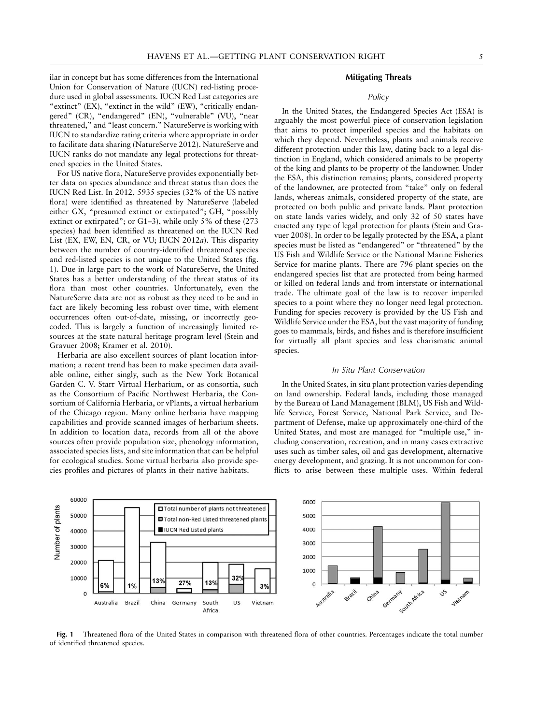ilar in concept but has some differences from the International Union for Conservation of Nature (IUCN) red-listing procedure used in global assessments. IUCN Red List categories are "extinct" (EX), "extinct in the wild" (EW), "critically endangered" (CR), "endangered" (EN), "vulnerable" (VU), "near threatened," and "least concern." NatureServe is working with IUCN to standardize rating criteria where appropriate in order to facilitate data sharing (NatureServe 2012). NatureServe and IUCN ranks do not mandate any legal protections for threatened species in the United States.

For US native flora, NatureServe provides exponentially better data on species abundance and threat status than does the IUCN Red List. In 2012, 5935 species (32% of the US native flora) were identified as threatened by NatureServe (labeled either GX, "presumed extinct or extirpated"; GH, "possibly extinct or extirpated"; or G1–3), while only 5% of these (273 species) had been identified as threatened on the IUCN Red List (EX, EW, EN, CR, or VU; IUCN 2012*a*). This disparity between the number of country-identified threatened species and red-listed species is not unique to the United States (fig. 1). Due in large part to the work of NatureServe, the United States has a better understanding of the threat status of its flora than most other countries. Unfortunately, even the NatureServe data are not as robust as they need to be and in fact are likely becoming less robust over time, with element occurrences often out-of-date, missing, or incorrectly geocoded. This is largely a function of increasingly limited resources at the state natural heritage program level (Stein and Gravuer 2008; Kramer et al. 2010).

Herbaria are also excellent sources of plant location information; a recent trend has been to make specimen data available online, either singly, such as the New York Botanical Garden C. V. Starr Virtual Herbarium, or as consortia, such as the Consortium of Pacific Northwest Herbaria, the Consortium of California Herbaria, or vPlants, a virtual herbarium of the Chicago region. Many online herbaria have mapping capabilities and provide scanned images of herbarium sheets. In addition to location data, records from all of the above sources often provide population size, phenology information, associated species lists, and site information that can be helpful for ecological studies. Some virtual herbaria also provide species profiles and pictures of plants in their native habitats.

#### **Mitigating Threats**

#### *Policy*

In the United States, the Endangered Species Act (ESA) is arguably the most powerful piece of conservation legislation that aims to protect imperiled species and the habitats on which they depend. Nevertheless, plants and animals receive different protection under this law, dating back to a legal distinction in England, which considered animals to be property of the king and plants to be property of the landowner. Under the ESA, this distinction remains; plants, considered property of the landowner, are protected from "take" only on federal lands, whereas animals, considered property of the state, are protected on both public and private lands. Plant protection on state lands varies widely, and only 32 of 50 states have enacted any type of legal protection for plants (Stein and Gravuer 2008). In order to be legally protected by the ESA, a plant species must be listed as "endangered" or "threatened" by the US Fish and Wildlife Service or the National Marine Fisheries Service for marine plants. There are 796 plant species on the endangered species list that are protected from being harmed or killed on federal lands and from interstate or international trade. The ultimate goal of the law is to recover imperiled species to a point where they no longer need legal protection. Funding for species recovery is provided by the US Fish and Wildlife Service under the ESA, but the vast majority of funding goes to mammals, birds, and fishes and is therefore insufficient for virtually all plant species and less charismatic animal species.

#### *In Situ Plant Conservation*

In the United States, in situ plant protection varies depending on land ownership. Federal lands, including those managed by the Bureau of Land Management (BLM), US Fish and Wildlife Service, Forest Service, National Park Service, and Department of Defense, make up approximately one-third of the United States, and most are managed for "multiple use," including conservation, recreation, and in many cases extractive uses such as timber sales, oil and gas development, alternative energy development, and grazing. It is not uncommon for conflicts to arise between these multiple uses. Within federal



**Fig. 1** Threatened flora of the United States in comparison with threatened flora of other countries. Percentages indicate the total number of identified threatened species.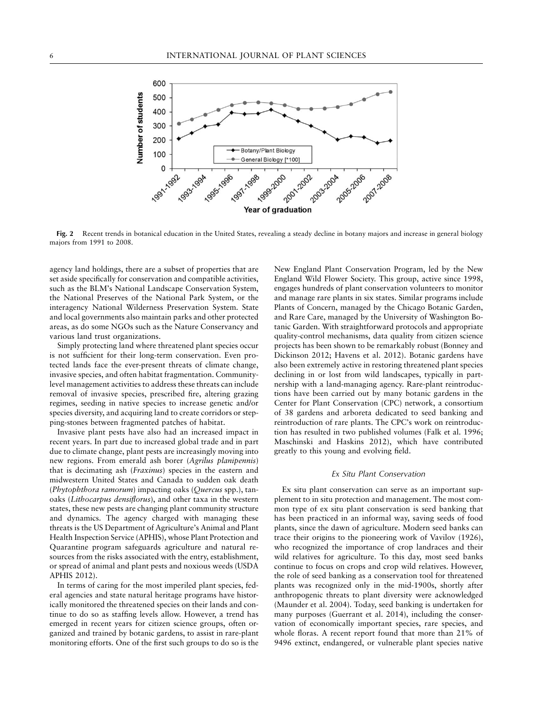

**Fig. 2** Recent trends in botanical education in the United States, revealing a steady decline in botany majors and increase in general biology majors from 1991 to 2008.

agency land holdings, there are a subset of properties that are set aside specifically for conservation and compatible activities, such as the BLM's National Landscape Conservation System, the National Preserves of the National Park System, or the interagency National Wilderness Preservation System. State and local governments also maintain parks and other protected areas, as do some NGOs such as the Nature Conservancy and various land trust organizations.

Simply protecting land where threatened plant species occur is not sufficient for their long-term conservation. Even protected lands face the ever-present threats of climate change, invasive species, and often habitat fragmentation. Communitylevel management activities to address these threats can include removal of invasive species, prescribed fire, altering grazing regimes, seeding in native species to increase genetic and/or species diversity, and acquiring land to create corridors or stepping-stones between fragmented patches of habitat.

Invasive plant pests have also had an increased impact in recent years. In part due to increased global trade and in part due to climate change, plant pests are increasingly moving into new regions. From emerald ash borer (*Agrilus planipennis*) that is decimating ash (*Fraxinus*) species in the eastern and midwestern United States and Canada to sudden oak death (*Phytophthora ramorum*) impacting oaks (*Quercus* spp.), tanoaks (*Lithocarpus densiflorus*), and other taxa in the western states, these new pests are changing plant community structure and dynamics. The agency charged with managing these threats is the US Department of Agriculture's Animal and Plant Health Inspection Service (APHIS), whose Plant Protection and Quarantine program safeguards agriculture and natural resources from the risks associated with the entry, establishment, or spread of animal and plant pests and noxious weeds (USDA APHIS 2012).

In terms of caring for the most imperiled plant species, federal agencies and state natural heritage programs have historically monitored the threatened species on their lands and continue to do so as staffing levels allow. However, a trend has emerged in recent years for citizen science groups, often organized and trained by botanic gardens, to assist in rare-plant monitoring efforts. One of the first such groups to do so is the New England Plant Conservation Program, led by the New England Wild Flower Society. This group, active since 1998, engages hundreds of plant conservation volunteers to monitor and manage rare plants in six states. Similar programs include Plants of Concern, managed by the Chicago Botanic Garden, and Rare Care, managed by the University of Washington Botanic Garden. With straightforward protocols and appropriate quality-control mechanisms, data quality from citizen science projects has been shown to be remarkably robust (Bonney and Dickinson 2012; Havens et al. 2012). Botanic gardens have also been extremely active in restoring threatened plant species declining in or lost from wild landscapes, typically in partnership with a land-managing agency. Rare-plant reintroductions have been carried out by many botanic gardens in the Center for Plant Conservation (CPC) network, a consortium of 38 gardens and arboreta dedicated to seed banking and reintroduction of rare plants. The CPC's work on reintroduction has resulted in two published volumes (Falk et al. 1996; Maschinski and Haskins 2012), which have contributed greatly to this young and evolving field.

#### *Ex Situ Plant Conservation*

Ex situ plant conservation can serve as an important supplement to in situ protection and management. The most common type of ex situ plant conservation is seed banking that has been practiced in an informal way, saving seeds of food plants, since the dawn of agriculture. Modern seed banks can trace their origins to the pioneering work of Vavilov (1926), who recognized the importance of crop landraces and their wild relatives for agriculture. To this day, most seed banks continue to focus on crops and crop wild relatives. However, the role of seed banking as a conservation tool for threatened plants was recognized only in the mid-1900s, shortly after anthropogenic threats to plant diversity were acknowledged (Maunder et al. 2004). Today, seed banking is undertaken for many purposes (Guerrant et al. 2014), including the conservation of economically important species, rare species, and whole floras. A recent report found that more than 21% of 9496 extinct, endangered, or vulnerable plant species native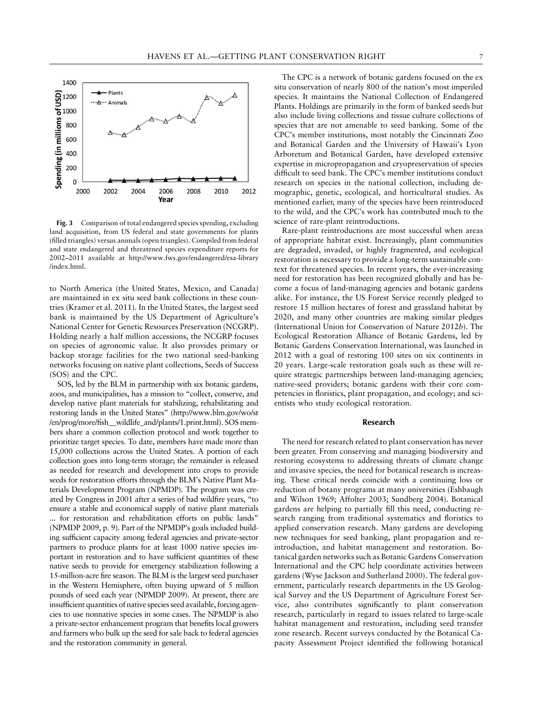

**Fig. 3** Comparison of total endangered species spending, excluding land acquisition, from US federal and state governments for plants (filled triangles) versus animals (open triangles). Compiled from federal and state endangered and threatened species expenditure reports for 2002–2011 available at http://www.fws.gov/endangered/esa-library /index.html.

to North America (the United States, Mexico, and Canada) are maintained in ex situ seed bank collections in these countries (Kramer et al. 2011). In the United States, the largest seed bank is maintained by the US Department of Agriculture's National Center for Genetic Resources Preservation (NCGRP). Holding nearly a half million accessions, the NCGRP focuses on species of agronomic value. It also provides primary or backup storage facilities for the two national seed-banking networks focusing on native plant collections, Seeds of Success (SOS) and the CPC.

SOS, led by the BLM in partnership with six botanic gardens, zoos, and municipalities, has a mission to "collect, conserve, and develop native plant materials for stabilizing, rehabilitating and restoring lands in the United States" (http://www.blm.gov/wo/st /en/prog/more/fish\_\_wildlife\_and/plants/1.print.html). SOS members share a common collection protocol and work together to prioritize target species. To date, members have made more than 15,000 collections across the United States. A portion of each collection goes into long-term storage; the remainder is released as needed for research and development into crops to provide seeds for restoration efforts through the BLM's Native Plant Materials Development Program (NPMDP). The program was created by Congress in 2001 after a series of bad wildfire years, "to ensure a stable and economical supply of native plant materials ... for restoration and rehabilitation efforts on public lands" (NPMDP 2009, p. 9). Part of the NPMDP's goals included building sufficient capacity among federal agencies and private-sector partners to produce plants for at least 1000 native species important in restoration and to have sufficient quantities of these native seeds to provide for emergency stabilization following a 15-million-acre fire season. The BLM is the largest seed purchaser in the Western Hemisphere, often buying upward of 5 million pounds of seed each year (NPMDP 2009). At present, there are insufficient quantities of native species seed available, forcing agencies to use nonnative species in some cases. The NPMDP is also a private-sector enhancement program that benefits local growers and farmers who bulk up the seed for sale back to federal agencies and the restoration community in general.

The CPC is a network of botanic gardens focused on the ex situ conservation of nearly 800 of the nation's most imperiled species. It maintains the National Collection of Endangered Plants. Holdings are primarily in the form of banked seeds but also include living collections and tissue culture collections of species that are not amenable to seed banking. Some of the CPC's member institutions, most notably the Cincinnati Zoo and Botanical Garden and the University of Hawaii's Lyon Arboretum and Botanical Garden, have developed extensive expertise in micropropagation and cryopreservation of species difficult to seed bank. The CPC's member institutions conduct research on species in the national collection, including demographic, genetic, ecological, and horticultural studies. As mentioned earlier, many of the species have been reintroduced to the wild, and the CPC's work has contributed much to the science of rare-plant reintroductions.

Rare-plant reintroductions are most successful when areas of appropriate habitat exist. Increasingly, plant communities are degraded, invaded, or highly fragmented, and ecological restoration is necessary to provide a long-term sustainable context for threatened species. In recent years, the ever-increasing need for restoration has been recognized globally and has become a focus of land-managing agencies and botanic gardens alike. For instance, the US Forest Service recently pledged to restore 15 million hectares of forest and grassland habitat by 2020, and many other countries are making similar pledges (International Union for Conservation of Nature 2012*b*). The Ecological Restoration Alliance of Botanic Gardens, led by Botanic Gardens Conservation International, was launched in 2012 with a goal of restoring 100 sites on six continents in 20 years. Large-scale restoration goals such as these will require strategic partnerships between land-managing agencies; native-seed providers; botanic gardens with their core competencies in floristics, plant propagation, and ecology; and scientists who study ecological restoration.

#### **Research**

The need for research related to plant conservation has never been greater. From conserving and managing biodiversity and restoring ecosystems to addressing threats of climate change and invasive species, the need for botanical research is increasing. These critical needs coincide with a continuing loss or reduction of botany programs at many universities (Eshbaugh and Wilson 1969; Affolter 2003; Sundberg 2004). Botanical gardens are helping to partially fill this need, conducting research ranging from traditional systematics and floristics to applied conservation research. Many gardens are developing new techniques for seed banking, plant propagation and reintroduction, and habitat management and restoration. Botanical garden networks such as Botanic Gardens Conservation International and the CPC help coordinate activities between gardens (Wyse Jackson and Sutherland 2000). The federal government, particularly research departments in the US Geological Survey and the US Department of Agriculture Forest Service, also contributes significantly to plant conservation research, particularly in regard to issues related to large-scale habitat management and restoration, including seed transfer zone research. Recent surveys conducted by the Botanical Capacity Assessment Project identified the following botanical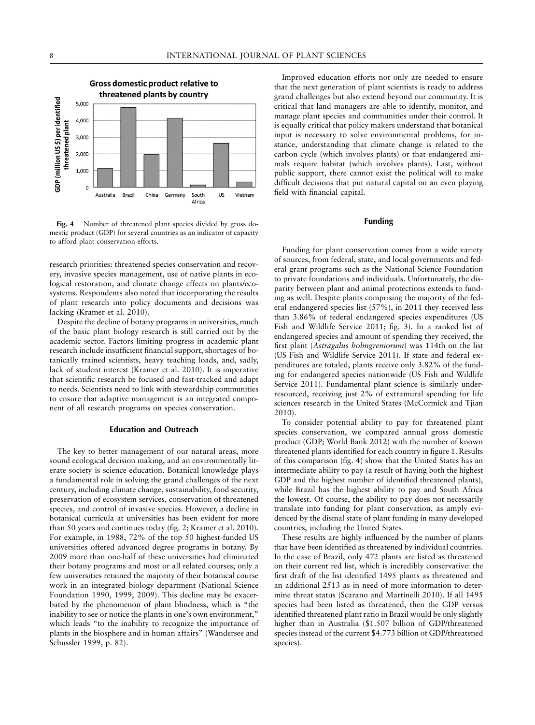

**Fig. 4** Number of threatened plant species divided by gross domestic product (GDP) for several countries as an indicator of capacity to afford plant conservation efforts.

research priorities: threatened species conservation and recovery, invasive species management, use of native plants in ecological restoration, and climate change effects on plants/ecosystems. Respondents also noted that incorporating the results of plant research into policy documents and decisions was lacking (Kramer et al. 2010).

Despite the decline of botany programs in universities, much of the basic plant biology research is still carried out by the academic sector. Factors limiting progress in academic plant research include insufficient financial support, shortages of botanically trained scientists, heavy teaching loads, and, sadly, lack of student interest (Kramer et al. 2010). It is imperative that scientific research be focused and fast-tracked and adapt to needs. Scientists need to link with stewardship communities to ensure that adaptive management is an integrated component of all research programs on species conservation.

#### **Education and Outreach**

The key to better management of our natural areas, more sound ecological decision making, and an environmentally literate society is science education. Botanical knowledge plays a fundamental role in solving the grand challenges of the next century, including climate change, sustainability, food security, preservation of ecosystem services, conservation of threatened species, and control of invasive species. However, a decline in botanical curricula at universities has been evident for more than 50 years and continues today (fig. 2; Kramer et al. 2010). For example, in 1988, 72% of the top 50 highest-funded US universities offered advanced degree programs in botany. By 2009 more than one-half of these universities had eliminated their botany programs and most or all related courses; only a few universities retained the majority of their botanical course work in an integrated biology department (National Science Foundation 1990, 1999, 2009). This decline may be exacerbated by the phenomenon of plant blindness, which is "the inability to see or notice the plants in one's own environment," which leads "to the inability to recognize the importance of plants in the biosphere and in human affairs" (Wandersee and Schussler 1999, p. 82).

Improved education efforts not only are needed to ensure that the next generation of plant scientists is ready to address grand challenges but also extend beyond our community. It is critical that land managers are able to identify, monitor, and manage plant species and communities under their control. It is equally critical that policy makers understand that botanical input is necessary to solve environmental problems, for instance, understanding that climate change is related to the carbon cycle (which involves plants) or that endangered animals require habitat (which involves plants). Last, without public support, there cannot exist the political will to make difficult decisions that put natural capital on an even playing field with financial capital.

#### **Funding**

Funding for plant conservation comes from a wide variety of sources, from federal, state, and local governments and federal grant programs such as the National Science Foundation to private foundations and individuals. Unfortunately, the disparity between plant and animal protections extends to funding as well. Despite plants comprising the majority of the federal endangered species list (57%), in 2011 they received less than 3.86% of federal endangered species expenditures (US Fish and Wildlife Service 2011; fig. 3). In a ranked list of endangered species and amount of spending they received, the first plant (*Astragalus holmgreniorum*) was 114th on the list (US Fish and Wildlife Service 2011). If state and federal expenditures are totaled, plants receive only 3.82% of the funding for endangered species nationwide (US Fish and Wildlife Service 2011). Fundamental plant science is similarly underresourced, receiving just 2% of extramural spending for life sciences research in the United States (McCormick and Tjian 2010).

To consider potential ability to pay for threatened plant species conservation, we compared annual gross domestic product (GDP; World Bank 2012) with the number of known threatened plants identified for each country in figure 1. Results of this comparison (fig. 4) show that the United States has an intermediate ability to pay (a result of having both the highest GDP and the highest number of identified threatened plants), while Brazil has the highest ability to pay and South Africa the lowest. Of course, the ability to pay does not necessarily translate into funding for plant conservation, as amply evidenced by the dismal state of plant funding in many developed countries, including the United States.

These results are highly influenced by the number of plants that have been identified as threatened by individual countries. In the case of Brazil, only 472 plants are listed as threatened on their current red list, which is incredibly conservative: the first draft of the list identified 1495 plants as threatened and an additional 2513 as in need of more information to determine threat status (Scarano and Martinelli 2010). If all 1495 species had been listed as threatened, then the GDP versus identified threatened plant ratio in Brazil would be only slightly higher than in Australia (\$1.507 billion of GDP/threatened species instead of the current \$4.773 billion of GDP/threatened species).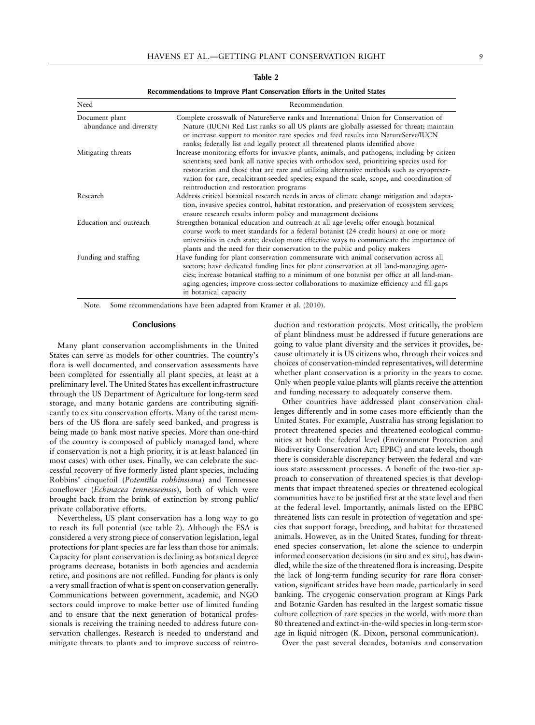| Recommendations to Improve Plant Conservation Efforts in the United States |                                                                                                                                                                                                                                                                                                                                                                                                                                   |  |
|----------------------------------------------------------------------------|-----------------------------------------------------------------------------------------------------------------------------------------------------------------------------------------------------------------------------------------------------------------------------------------------------------------------------------------------------------------------------------------------------------------------------------|--|
| Need                                                                       | Recommendation<br>Complete crosswalk of NatureServe ranks and International Union for Conservation of<br>Nature (IUCN) Red List ranks so all US plants are globally assessed for threat; maintain<br>or increase support to monitor rare species and feed results into NatureServe/IUCN<br>ranks; federally list and legally protect all threatened plants identified above                                                       |  |
| Document plant<br>abundance and diversity                                  |                                                                                                                                                                                                                                                                                                                                                                                                                                   |  |
| Mitigating threats                                                         | Increase monitoring efforts for invasive plants, animals, and pathogens, including by citizen<br>scientists; seed bank all native species with orthodox seed, prioritizing species used for<br>restoration and those that are rare and utilizing alternative methods such as cryopreser-<br>vation for rare, recalcitrant-seeded species; expand the scale, scope, and coordination of<br>reintroduction and restoration programs |  |
| Research                                                                   | Address critical botanical research needs in areas of climate change mitigation and adapta-<br>tion, invasive species control, habitat restoration, and preservation of ecosystem services;<br>ensure research results inform policy and management decisions                                                                                                                                                                     |  |
| Education and outreach                                                     | Strengthen botanical education and outreach at all age levels; offer enough botanical<br>course work to meet standards for a federal botanist (24 credit hours) at one or more<br>universities in each state; develop more effective ways to communicate the importance of<br>plants and the need for their conservation to the public and policy makers                                                                          |  |
| Funding and staffing                                                       | Have funding for plant conservation commensurate with animal conservation across all<br>sectors; have dedicated funding lines for plant conservation at all land-managing agen-<br>cies; increase botanical staffing to a minimum of one botanist per office at all land-man-<br>aging agencies; improve cross-sector collaborations to maximize efficiency and fill gaps<br>in botanical capacity                                |  |

#### **Table 2**

Note. Some recommendations have been adapted from Kramer et al. (2010).

#### **Conclusions**

Many plant conservation accomplishments in the United States can serve as models for other countries. The country's flora is well documented, and conservation assessments have been completed for essentially all plant species, at least at a preliminary level. The United States has excellent infrastructure through the US Department of Agriculture for long-term seed storage, and many botanic gardens are contributing significantly to ex situ conservation efforts. Many of the rarest members of the US flora are safely seed banked, and progress is being made to bank most native species. More than one-third of the country is composed of publicly managed land, where if conservation is not a high priority, it is at least balanced (in most cases) with other uses. Finally, we can celebrate the successful recovery of five formerly listed plant species, including Robbins' cinquefoil (*Potentilla robbinsiana*) and Tennessee coneflower (*Echinacea tennesseensis*), both of which were brought back from the brink of extinction by strong public/ private collaborative efforts.

Nevertheless, US plant conservation has a long way to go to reach its full potential (see table 2). Although the ESA is considered a very strong piece of conservation legislation, legal protections for plant species are far less than those for animals. Capacity for plant conservation is declining as botanical degree programs decrease, botanists in both agencies and academia retire, and positions are not refilled. Funding for plants is only a very small fraction of what is spent on conservation generally. Communications between government, academic, and NGO sectors could improve to make better use of limited funding and to ensure that the next generation of botanical professionals is receiving the training needed to address future conservation challenges. Research is needed to understand and mitigate threats to plants and to improve success of reintroduction and restoration projects. Most critically, the problem of plant blindness must be addressed if future generations are going to value plant diversity and the services it provides, because ultimately it is US citizens who, through their voices and choices of conservation-minded representatives, will determine whether plant conservation is a priority in the years to come. Only when people value plants will plants receive the attention and funding necessary to adequately conserve them.

Other countries have addressed plant conservation challenges differently and in some cases more efficiently than the United States. For example, Australia has strong legislation to protect threatened species and threatened ecological communities at both the federal level (Environment Protection and Biodiversity Conservation Act; EPBC) and state levels, though there is considerable discrepancy between the federal and various state assessment processes. A benefit of the two-tier approach to conservation of threatened species is that developments that impact threatened species or threatened ecological communities have to be justified first at the state level and then at the federal level. Importantly, animals listed on the EPBC threatened lists can result in protection of vegetation and species that support forage, breeding, and habitat for threatened animals. However, as in the United States, funding for threatened species conservation, let alone the science to underpin informed conservation decisions (in situ and ex situ), has dwindled, while the size of the threatened flora is increasing. Despite the lack of long-term funding security for rare flora conservation, significant strides have been made, particularly in seed banking. The cryogenic conservation program at Kings Park and Botanic Garden has resulted in the largest somatic tissue culture collection of rare species in the world, with more than 80 threatened and extinct-in-the-wild species in long-term storage in liquid nitrogen (K. Dixon, personal communication).

Over the past several decades, botanists and conservation